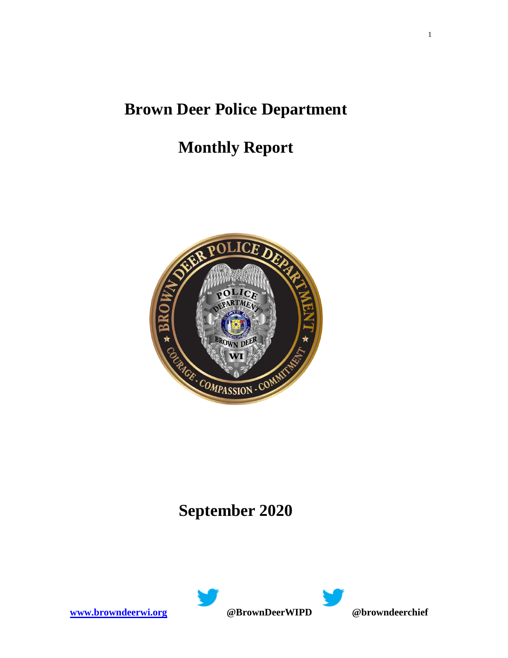### **Brown Deer Police Department**

## **Monthly Report**



# **September 2020**

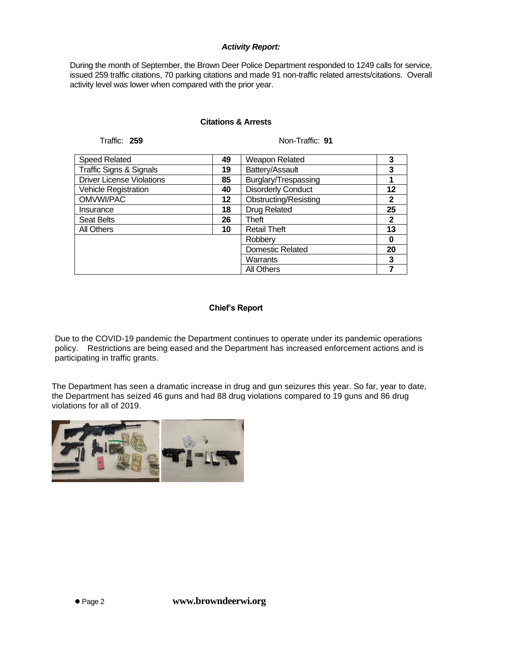#### *Activity Report:*

During the month of September, the Brown Deer Police Department responded to 1249 calls for service, issued 259 traffic citations, 70 parking citations and made 91 non-traffic related arrests/citations. Overall activity level was lower when compared with the prior year.

#### **Citations & Arrests**

Traffic: 259 Non-Traffic: 91

| <b>Speed Related</b>               | 49 | <b>Weapon Related</b>        | 3  |
|------------------------------------|----|------------------------------|----|
| <b>Traffic Signs &amp; Signals</b> | 19 | Battery/Assault              | 3  |
| <b>Driver License Violations</b>   | 85 | Burglary/Trespassing         |    |
| <b>Vehicle Registration</b>        | 40 | <b>Disorderly Conduct</b>    | 12 |
| OMVWI/PAC                          | 12 | <b>Obstructing/Resisting</b> | 2  |
| Insurance                          | 18 | Drug Related                 | 25 |
| <b>Seat Belts</b>                  | 26 | Theft                        | 2  |
| All Others                         | 10 | <b>Retail Theft</b>          | 13 |
|                                    |    | Robberv                      | 0  |
|                                    |    | <b>Domestic Related</b>      | 20 |
|                                    |    | Warrants                     | 3  |
|                                    |    | <b>All Others</b>            |    |

#### **Chief's Report**

Due to the COVID-19 pandemic the Department continues to operate under its pandemic operations policy. Restrictions are being eased and the Department has increased enforcement actions and is participating in traffic grants.

The Department has seen a dramatic increase in drug and gun seizures this year. So far, year to date, the Department has seized 46 guns and had 88 drug violations compared to 19 guns and 86 drug violations for all of 2019.

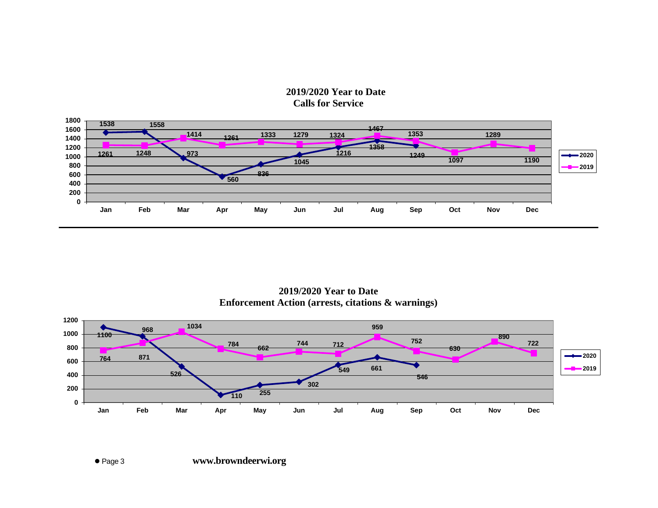### **2019/2020 Year to Date Calls for Service**



**2019/2020 Year to Date Enforcement Action (arrests, citations & warnings)**

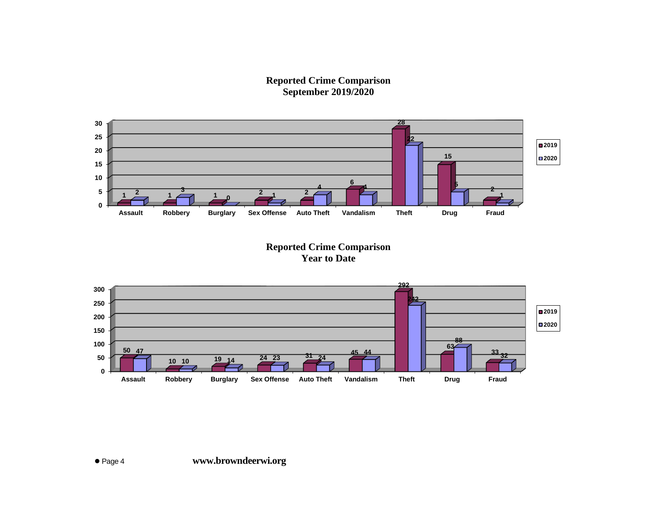**Reported Crime Comparison September 2019/2020**



**Reported Crime Comparison Year to Date**

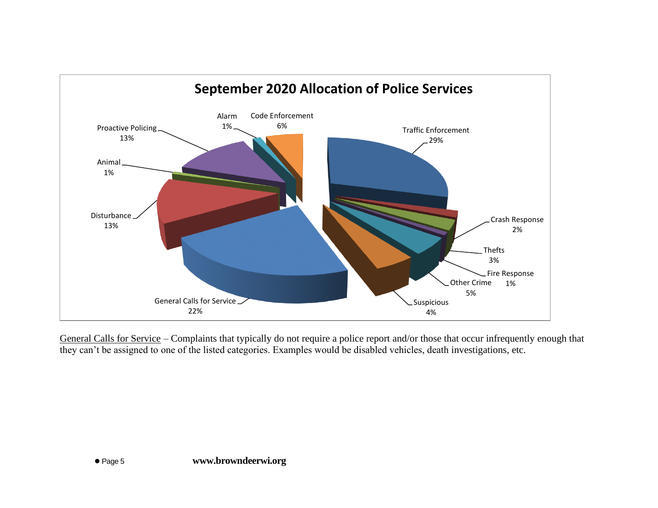

General Calls for Service – Complaints that typically do not require a police report and/or those that occur infrequently enough that they can't be assigned to one of the listed categories. Examples would be disabled vehicles, death investigations, etc.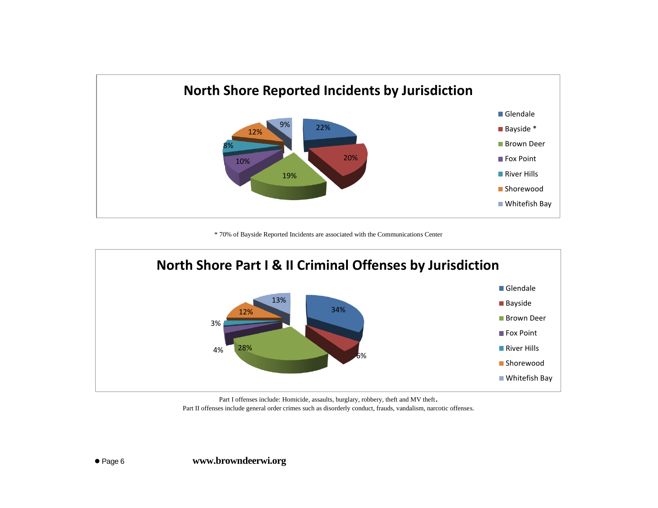

\* 70% of Bayside Reported Incidents are associated with the Communications Center



Part I offenses include: Homicide, assaults, burglary, robbery, theft and MV theft. Part II offenses include general order crimes such as disorderly conduct, frauds, vandalism, narcotic offenses.